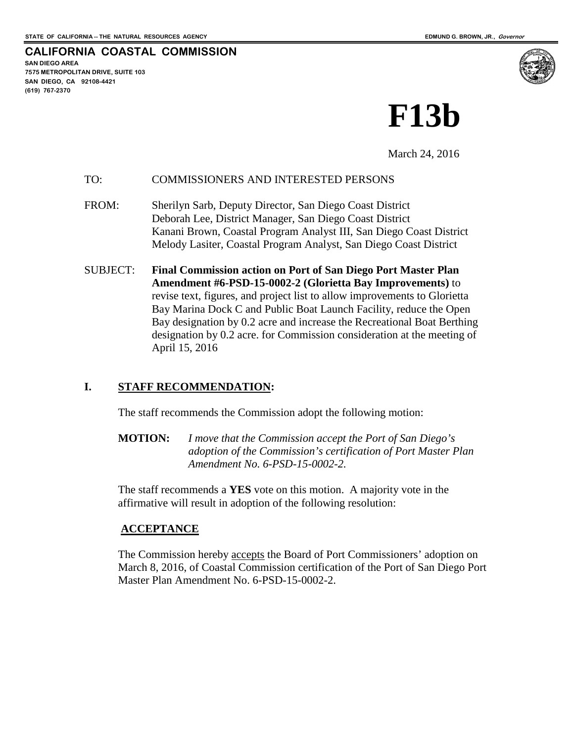**CALIFORNIA COASTAL COMMISSION**

**SAN DIEGO AREA 7575 METROPOLITAN DRIVE, SUITE 103 SAN DIEGO, CA 92108-4421 (619) 767-2370**



March 24, 2016

#### TO: COMMISSIONERS AND INTERESTED PERSONS

- FROM: Sherilyn Sarb, Deputy Director, San Diego Coast District Deborah Lee, District Manager, San Diego Coast District Kanani Brown, Coastal Program Analyst III, San Diego Coast District Melody Lasiter, Coastal Program Analyst, San Diego Coast District
- SUBJECT: **Final Commission action on Port of San Diego Port Master Plan Amendment #6-PSD-15-0002-2 (Glorietta Bay Improvements)** to revise text, figures, and project list to allow improvements to Glorietta Bay Marina Dock C and Public Boat Launch Facility, reduce the Open Bay designation by 0.2 acre and increase the Recreational Boat Berthing designation by 0.2 acre. for Commission consideration at the meeting of April 15, 2016

# **I. STAFF RECOMMENDATION:**

The staff recommends the Commission adopt the following motion:

**MOTION:** *I move that the Commission accept the Port of San Diego's adoption of the Commission's certification of Port Master Plan Amendment No. 6-PSD-15-0002-2.*

The staff recommends a **YES** vote on this motion. A majority vote in the affirmative will result in adoption of the following resolution:

# **ACCEPTANCE**

The Commission hereby accepts the Board of Port Commissioners' adoption on March 8, 2016, of Coastal Commission certification of the Port of San Diego Port Master Plan Amendment No. 6-PSD-15-0002-2.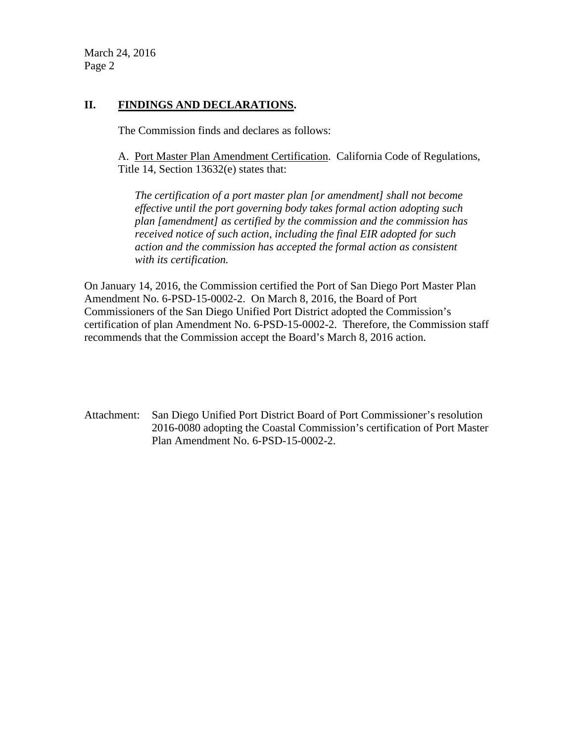March 24, 2016 Page 2

# **II. FINDINGS AND DECLARATIONS.**

The Commission finds and declares as follows:

A. Port Master Plan Amendment Certification. California Code of Regulations, Title 14, Section 13632(e) states that:

*The certification of a port master plan [or amendment] shall not become effective until the port governing body takes formal action adopting such plan [amendment] as certified by the commission and the commission has received notice of such action, including the final EIR adopted for such action and the commission has accepted the formal action as consistent with its certification.* 

On January 14, 2016, the Commission certified the Port of San Diego Port Master Plan Amendment No. 6-PSD-15-0002-2. On March 8, 2016, the Board of Port Commissioners of the San Diego Unified Port District adopted the Commission's certification of plan Amendment No. 6-PSD-15-0002-2. Therefore, the Commission staff recommends that the Commission accept the Board's March 8, 2016 action.

Attachment: San Diego Unified Port District Board of Port Commissioner's resolution 2016-0080 adopting the Coastal Commission's certification of Port Master Plan Amendment No. 6-PSD-15-0002-2.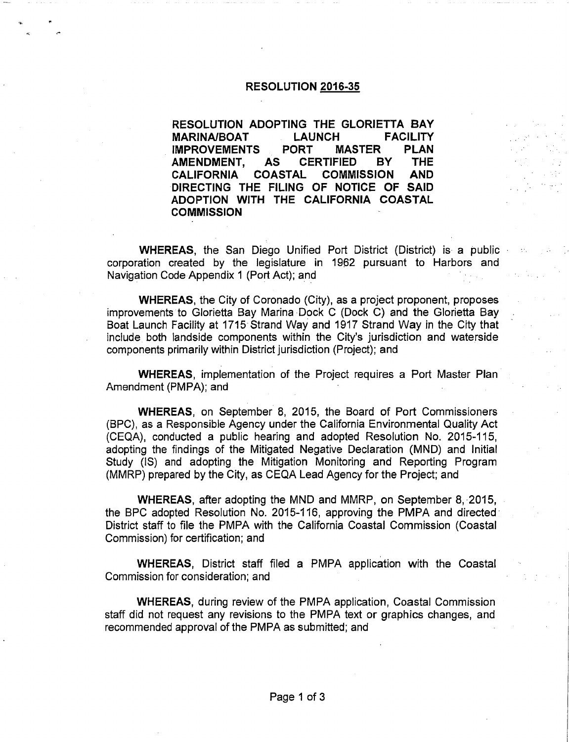#### **RESOLUTION 2016-35**

RESOLUTION ADOPTING THE GLORIETTA BAY **MARINA/BOAT LAUNCH FACILITY MASTER** PORT **PLAN IMPROVEMENTS** AMENDMENT, **AS CERTIFIED BY THE COASTAL COMMISSION AND CALIFORNIA** DIRECTING THE FILING OF NOTICE OF SAID ADOPTION WITH THE CALIFORNIA COASTAL **COMMISSION** 

**WHEREAS**, the San Diego Unified Port District (District) is a public corporation created by the legislature in 1962 pursuant to Harbors and Navigation Code Appendix 1 (Port Act); and

**WHEREAS, the City of Coronado (City), as a project proponent, proposes** improvements to Glorietta Bay Marina Dock C (Dock C) and the Glorietta Bay Boat Launch Facility at 1715 Strand Way and 1917 Strand Way in the City that include both landside components within the City's jurisdiction and waterside components primarily within District jurisdiction (Project); and

**WHEREAS, implementation of the Project requires a Port Master Plan** Amendment (PMPA); and

WHEREAS, on September 8, 2015, the Board of Port Commissioners (BPC), as a Responsible Agency under the California Environmental Quality Act (CEQA), conducted a public hearing and adopted Resolution No. 2015-115, adopting the findings of the Mitigated Negative Declaration (MND) and Initial Study (IS) and adopting the Mitigation Monitoring and Reporting Program (MMRP) prepared by the City, as CEQA Lead Agency for the Project: and

**WHEREAS, after adopting the MND and MMRP, on September 8, 2015,** the BPC adopted Resolution No. 2015-116, approving the PMPA and directed: District staff to file the PMPA with the California Coastal Commission (Coastal Commission) for certification; and

**WHEREAS, District staff filed a PMPA application with the Coastal** Commission for consideration; and

**WHEREAS, during review of the PMPA application, Coastal Commission** staff did not request any revisions to the PMPA text or graphics changes, and recommended approval of the PMPA as submitted; and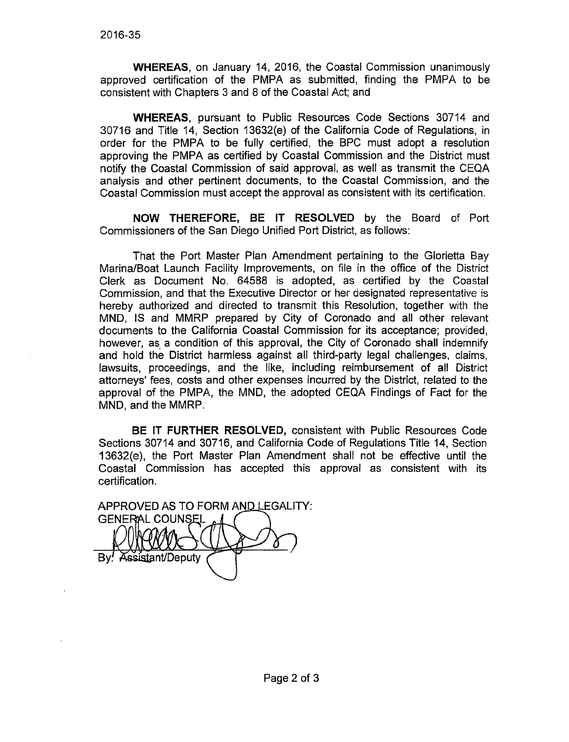**WHEREAS.** on January 14, 2016, the Coastal Commission unanimously approved certification of the PMPA as submitted, finding the PMPA to be consistent with Chapters 3 and 8 of the Coastal Act; and

**WHEREAS, pursuant to Public Resources Code Sections 30714 and** 30716 and Title 14, Section 13632(e) of the California Code of Regulations, in order for the PMPA to be fully certified, the BPC must adopt a resolution approving the PMPA as certified by Coastal Commission and the District must notify the Coastal Commission of said approval, as well as transmit the CEQA analysis and other pertinent documents, to the Coastal Commission, and the Coastal Commission must accept the approval as consistent with its certification.

NOW THEREFORE, BE IT RESOLVED by the Board of Port Commissioners of the San Diego Unified Port District, as follows:

That the Port Master Plan Amendment pertaining to the Glorietta Bay Marina/Boat Launch Facility Improvements, on file in the office of the District Clerk as Document No. 64588 is adopted, as certified by the Coastal Commission, and that the Executive Director or her designated representative is hereby authorized and directed to transmit this Resolution, together with the MND, IS and MMRP prepared by City of Coronado and all other relevant documents to the California Coastal Commission for its acceptance; provided, however, as a condition of this approval, the City of Coronado shall indemnify and hold the District harmless against all third-party legal challenges, claims, lawsuits, proceedings, and the like, including reimbursement of all District attorneys' fees, costs and other expenses incurred by the District, related to the approval of the PMPA, the MND, the adopted CEQA Findings of Fact for the MND, and the MMRP.

**BE IT FURTHER RESOLVED, consistent with Public Resources Code** Sections 30714 and 30716, and California Code of Regulations Title 14, Section 13632(e), the Port Master Plan Amendment shall not be effective until the Coastal Commission has accepted this approval as consistent with its certification.

APPROVED AS TO FORM AND LEGALITY: **GENERAL COUNSEL** ssistant/Deputy.